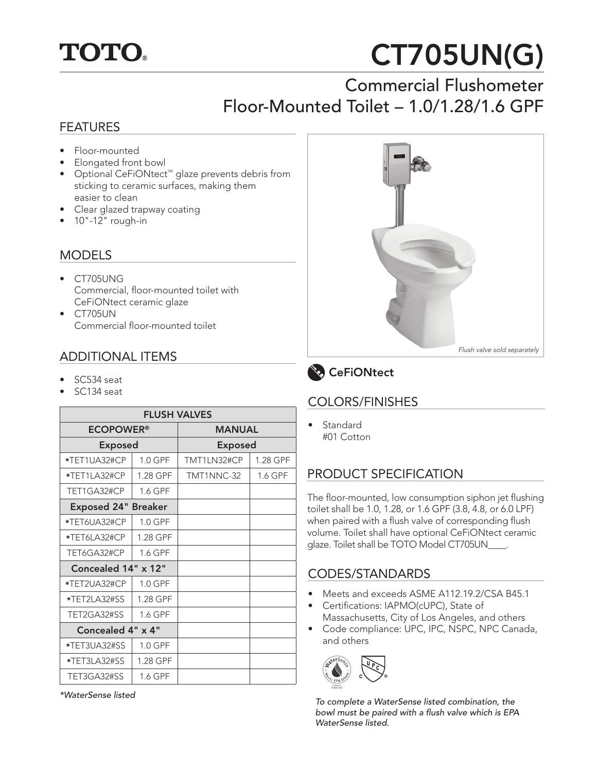

# CT705UN(G)

# Commercial Flushometer Floor-Mounted Toilet – 1.0/1.28/1.6 GPF

#### FEATURES

- Floor-mounted
- Elongated front bowl
- Optional CeFiONtect™ glaze prevents debris from sticking to ceramic surfaces, making them easier to clean
- Clear glazed trapway coating
- $\bullet$  10"-12" rough-in

#### **MODELS**

- CT705UNG Commercial, floor-mounted toilet with CeFiONtect ceramic glaze
- CT705UN Commercial floor-mounted toilet

#### ADDITIONAL ITEMS

- SC534 seat
- SC134 seat

| <b>FLUSH VALVES</b>         |           |                |          |  |
|-----------------------------|-----------|----------------|----------|--|
| <b>ECOPOWER<sup>®</sup></b> |           | <b>MANUAL</b>  |          |  |
| <b>Exposed</b>              |           | <b>Exposed</b> |          |  |
| *TET1UA32#CP                | $1.0$ GPF | TMT1LN32#CP    | 1.28 GPF |  |
| *TET1LA32#CP                | 1.28 GPF  | TMT1NNC-32     | 1.6 GPF  |  |
| TET1GA32#CP                 | 1.6 GPF   |                |          |  |
| <b>Exposed 24" Breaker</b>  |           |                |          |  |
| *TET6UA32#CP                | 1.0 GPF   |                |          |  |
| *TET6LA32#CP                | 1.28 GPF  |                |          |  |
| TET6GA32#CP                 | 1.6 GPF   |                |          |  |
| Concealed 14" x 12"         |           |                |          |  |
| *TET2UA32#CP                | 1.0 GPF   |                |          |  |
| *TET2LA32#SS                | 1.28 GPF  |                |          |  |
| TET2GA32#SS                 | 1.6 GPF   |                |          |  |
| Concealed 4" x 4"           |           |                |          |  |
| *TET3UA32#SS                | 1.0 GPF   |                |          |  |
| *TET3LA32#SS                | 1.28 GPF  |                |          |  |
| TET3GA32#SS                 | 1.6 GPF   |                |          |  |

*\*WaterSense listed*





#### COLORS/FINISHES

**Standard** #01 Cotton

# PRODUCT SPECIFICATION

The floor-mounted, low consumption siphon jet flushing toilet shall be 1.0, 1.28, or 1.6 GPF (3.8, 4.8, or 6.0 LPF) when paired with a flush valve of corresponding flush volume. Toilet shall have optional CeFiONtect ceramic glaze. Toilet shall be TOTO Model CT705UN\_\_\_\_.

#### CODES/STANDARDS

- Meets and exceeds ASME A112.19.2/CSA B45.1
- Certifications: IAPMO(cUPC), State of Massachusetts, City of Los Angeles, and others
- Code compliance: UPC, IPC, NSPC, NPC Canada, and others



*To complete a WaterSense listed combination, the*  bowl must be paired with a flush valve which is EPA *WaterSense listed.*